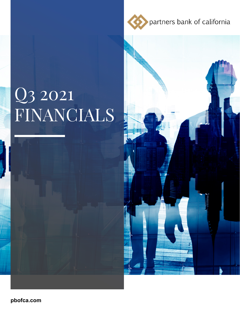partners bank of california

# Q3 2021 FINANCIALS



pbofca.com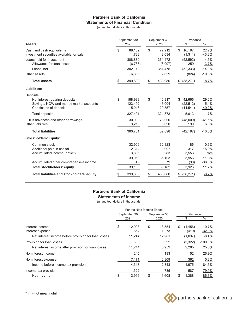#### **Partners Bank of California Statements of Financial Condition**

(unaudited, dollars in thousands)

|                                                                        | September 30, |                    | September 30, |                    | Variance                  |                     |
|------------------------------------------------------------------------|---------------|--------------------|---------------|--------------------|---------------------------|---------------------|
| Assets:                                                                |               | 2021               | 2020          |                    | \$                        | $\frac{0}{0}$       |
| Cash and cash equivalents<br>Investment securities available for sale  | \$            | 89,109<br>1,723    | \$            | 72,912<br>3,034    | \$<br>16,197<br>(1, 311)  | 22.2%<br>$-43.2%$   |
| Loans held for investment<br>Allowance for loan losses                 |               | 308,880<br>(6,738) |               | 361,472<br>(6,997) | (52, 592)<br>259          | $-14.5%$<br>$-3.7%$ |
| Loans, net                                                             |               | 302,142            |               | 354,475            | (52, 333)                 | $-14.8%$            |
| Other assets                                                           |               | 6,835              |               | 7,659              | (824)                     | $-10.8%$            |
| <b>Total assets</b>                                                    | \$            | 399,809            | \$            | 438,080            | (38, 271)<br>\$           | $-8.7%$             |
| Liabilities:                                                           |               |                    |               |                    |                           |                     |
| Deposits                                                               |               |                    |               |                    |                           |                     |
| Noninterest-bearing deposits<br>Savings, NOW and money market accounts | \$            | 188,983<br>123,492 | \$            | 146,317<br>146,004 | 42,666<br>\$<br>(22, 512) | 29.2%<br>$-15.4%$   |
| Certificates of deposit                                                |               | 15,016             |               | 29,557             | (14,541)                  | $-49.2%$            |
| <b>Total deposits</b>                                                  |               | 327,491            |               | 321,878            | 5,613                     | 1.7%                |
| FHLB advances and other borrowings<br>Other liabilities                |               | 30,000<br>3,210    |               | 78,000<br>3,020    | (48,000)<br>190           | $-61.5%$<br>6.3%    |
| <b>Total liabilities</b>                                               |               | 360,701            |               | 402,898            | (42, 197)                 | $-10.5%$            |
| <b>Stockholders' Equity:</b>                                           |               |                    |               |                    |                           |                     |
| Common stock                                                           |               | 32,909             |               | 32,823             | 86                        | 0.3%                |
| Additional paid-in capital                                             |               | 2,314              |               | 1,997              | 317                       | 15.9%               |
| Accumulated income (deficit)                                           |               | 3,836              |               | 283                | 3,553                     | $*nm$               |
|                                                                        |               | 39,059             |               | 35,103             | 3,956                     | 11.3%               |
| Accumulated other comprehensive income                                 |               | 49                 |               | 79                 | (30)                      | $-38.0%$            |
| <b>Total stockholders' equity</b>                                      |               | 39,108             |               | 35,182             | 3,926                     | 11.2%               |
| Total liabilities and stockholders' equity                             | \$            | 399,809            | \$            | 438,080            | (38, 271)<br>\$           | <u>-8.7%</u>        |

#### **Partners Bank of California Statements of Income**

(unaudited, dollars in thousands)

|                                                                                             | For the Nine Months Ended |                         |                       |                           |          |                             |                                 |  |  |
|---------------------------------------------------------------------------------------------|---------------------------|-------------------------|-----------------------|---------------------------|----------|-----------------------------|---------------------------------|--|--|
|                                                                                             | September 30,<br>2021     |                         | September 30,<br>2020 |                           | Variance |                             |                                 |  |  |
|                                                                                             |                           |                         |                       |                           |          |                             | $\%$                            |  |  |
| Interest income<br>Interest expense<br>Net interest income before provision for loan losses | \$                        | 12.098<br>854<br>11,244 | \$                    | 13.554<br>1,273<br>12,281 | S        | (1,456)<br>(419)<br>(1,037) | $-10.7%$<br>$-32.9%$<br>$-8.4%$ |  |  |
| Provision for loan losses<br>Net interest income after provision for loan losses            |                           | 11,244                  |                       | 3,322<br>8,959            |          | (3,322)<br>2,285            | $-100.0\%$<br>25.5%             |  |  |
| Noninterest income                                                                          |                           | 245                     |                       | 193                       |          | 52                          | 26.9%                           |  |  |
| Noninterest expense<br>Income before income tax provision                                   |                           | 7,171<br>4,318          |                       | 6,809<br>2,343            |          | 362<br>1,975                | 5.3%<br>84.3%                   |  |  |
| Income tax provision<br><b>Net income</b>                                                   |                           | 1,322<br>2,996          |                       | 735<br>1,608              |          | 587<br>1,388                | 79.9%<br>86.3%                  |  |  |